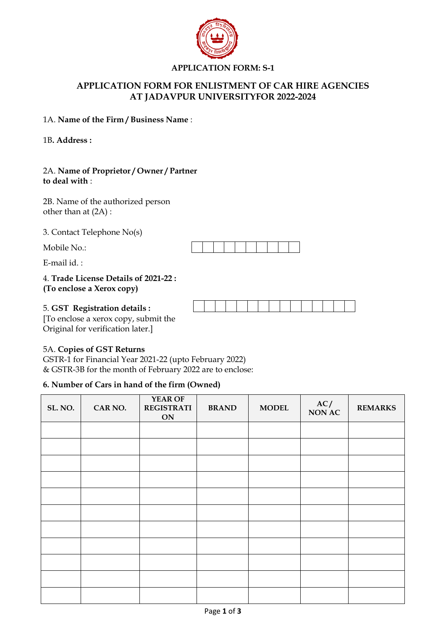

## **APPLICATION FORM: S-1**

# **APPLICATION FORM FOR ENLISTMENT OF CAR HIRE AGENCIES AT JADAVPUR UNIVERSITYFOR 2022-2024**

#### 1A. **Name of the Firm / Business Name** :

1B**. Address :**

#### 2A. **Name of Proprietor / Owner / Partner to deal with** :

2B. Name of the authorized person other than at (2A) :

3. Contact Telephone No(s)

Mobile No.:

E-mail id. :

## 4. **Trade License Details of 2021-22 : (To enclose a Xerox copy)**



5. **GST Registration details :** [To enclose a xerox copy, submit the Original for verification later.]

## 5A. **Copies of GST Returns**

GSTR-1 for Financial Year 2021-22 (upto February 2022) & GSTR-3B for the month of February 2022 are to enclose:

## **6. Number of Cars in hand of the firm (Owned)**

| SL. NO. | CAR NO. | YEAR OF<br><b>REGISTRATI</b><br>ON | <b>BRAND</b> | <b>MODEL</b> | AC/<br><b>NON AC</b> | <b>REMARKS</b> |
|---------|---------|------------------------------------|--------------|--------------|----------------------|----------------|
|         |         |                                    |              |              |                      |                |
|         |         |                                    |              |              |                      |                |
|         |         |                                    |              |              |                      |                |
|         |         |                                    |              |              |                      |                |
|         |         |                                    |              |              |                      |                |
|         |         |                                    |              |              |                      |                |
|         |         |                                    |              |              |                      |                |
|         |         |                                    |              |              |                      |                |
|         |         |                                    |              |              |                      |                |
|         |         |                                    |              |              |                      |                |
|         |         |                                    |              |              |                      |                |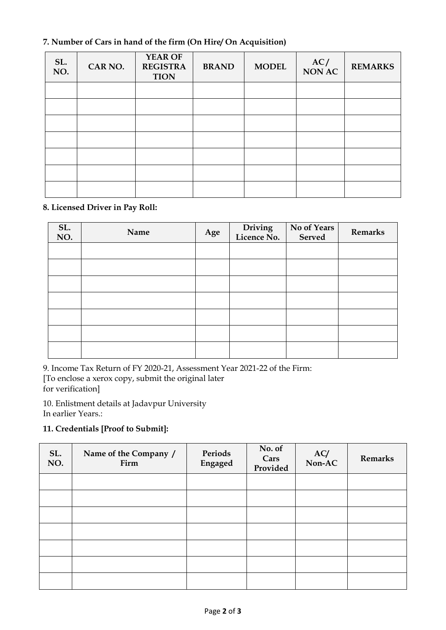# **7. Number of Cars in hand of the firm (On Hire/ On Acquisition)**

| SL.<br>NO. | CAR NO. | YEAR OF<br><b>REGISTRA</b><br><b>TION</b> | <b>BRAND</b> | <b>MODEL</b> | AC/<br><b>NON AC</b> | <b>REMARKS</b> |
|------------|---------|-------------------------------------------|--------------|--------------|----------------------|----------------|
|            |         |                                           |              |              |                      |                |
|            |         |                                           |              |              |                      |                |
|            |         |                                           |              |              |                      |                |
|            |         |                                           |              |              |                      |                |
|            |         |                                           |              |              |                      |                |
|            |         |                                           |              |              |                      |                |
|            |         |                                           |              |              |                      |                |

## **8. Licensed Driver in Pay Roll:**

| SL.<br>NO. | Name | Age | Driving<br>Licence No. | No of Years<br>Served | <b>Remarks</b> |
|------------|------|-----|------------------------|-----------------------|----------------|
|            |      |     |                        |                       |                |
|            |      |     |                        |                       |                |
|            |      |     |                        |                       |                |
|            |      |     |                        |                       |                |
|            |      |     |                        |                       |                |
|            |      |     |                        |                       |                |
|            |      |     |                        |                       |                |

9. Income Tax Return of FY 2020-21, Assessment Year 2021-22 of the Firm: [To enclose a xerox copy, submit the original later for verification]

10. Enlistment details at Jadavpur University In earlier Years.:

## **11. Credentials [Proof to Submit]:**

| SL.<br>NO. | Name of the Company /<br>Firm | Periods<br>Engaged | No. of<br>Cars<br>Provided | AC/<br>Non-AC | <b>Remarks</b> |
|------------|-------------------------------|--------------------|----------------------------|---------------|----------------|
|            |                               |                    |                            |               |                |
|            |                               |                    |                            |               |                |
|            |                               |                    |                            |               |                |
|            |                               |                    |                            |               |                |
|            |                               |                    |                            |               |                |
|            |                               |                    |                            |               |                |
|            |                               |                    |                            |               |                |